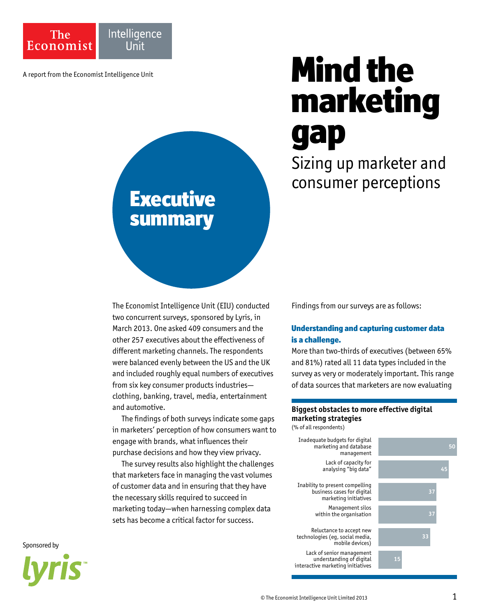

# A report from the Economist Intelligence Unit marketing gap

Sizing up marketer and consumer perceptions

## Executive summary

The Economist Intelligence Unit (EIU) conducted two concurrent surveys, sponsored by Lyris, in March 2013. One asked 409 consumers and the other 257 executives about the effectiveness of different marketing channels. The respondents were balanced evenly between the US and the UK and included roughly equal numbers of executives from six key consumer products industries clothing, banking, travel, media, entertainment and automotive.

The findings of both surveys indicate some gaps in marketers' perception of how consumers want to engage with brands, what influences their purchase decisions and how they view privacy.

The survey results also highlight the challenges that marketers face in managing the vast volumes of customer data and in ensuring that they have the necessary skills required to succeed in marketing today—when harnessing complex data sets has become a critical factor for success.

Findings from our surveys are as follows:

### Understanding and capturing customer data is a challenge.

More than two-thirds of executives (between 65% and 81%) rated all 11 data types included in the survey as very or moderately important. This range of data sources that marketers are now evaluating

### **Biggest obstacles to more effective digital marketing strategies**

(% of all respondents)



Sponsored by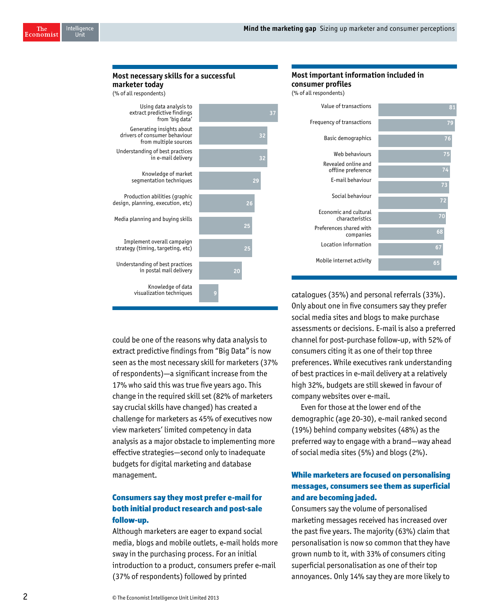### **Most necessary skills for a successful marketer today** (% of all respondents) Using data analysis to extract predictive findings from 'big data' Generating insights about drivers of consumer behaviour from multiple sources Understanding of best practices in e-mail delivery Knowledge of market

| Production abilities (graphic<br>design, planning, execution, etc) |  |
|--------------------------------------------------------------------|--|
| Media planning and buying skills                                   |  |
| Implement overall campaign<br>strategy (timing, targeting, etc)    |  |
| Understanding of best practices                                    |  |

segmentation techniques

in postal mail delivery

Knowledge of data visualization techniques

could be one of the reasons why data analysis to extract predictive findings from "Big Data" is now seen as the most necessary skill for marketers (37% of respondents)—a significant increase from the 17% who said this was true five years ago. This change in the required skill set (82% of marketers say crucial skills have changed) has created a challenge for marketers as 45% of executives now view marketers' limited competency in data analysis as a major obstacle to implementing more effective strategies—second only to inadequate budgets for digital marketing and database management.

### Consumers say they most prefer e-mail for both initial product research and post-sale follow-up.

Although marketers are eager to expand social media, blogs and mobile outlets, e-mail holds more sway in the purchasing process. For an initial introduction to a product, consumers prefer e-mail (37% of respondents) followed by printed

### **Most important information included in consumer profiles**

(% of all respondents)

**32**

**32**

**29**

**26**

**25**

 **20**

 **9**

|                                           | 81 |
|-------------------------------------------|----|
| Frequency of transactions                 | 79 |
| Basic demographics                        | 76 |
| Web behaviours                            | 75 |
| Revealed online and<br>offline preference | 74 |
| E-mail behaviour                          | 73 |
| Social behaviour                          | 72 |
| Economic and cultural<br>characteristics  | 70 |
| Preferences shared with<br>companies      | 68 |
| Location information                      | 67 |
| Mobile internet activity                  | 65 |

catalogues (35%) and personal referrals (33%). Only about one in five consumers say they prefer social media sites and blogs to make purchase assessments or decisions. E-mail is also a preferred channel for post-purchase follow-up, with 52% of consumers citing it as one of their top three preferences. While executives rank understanding of best practices in e-mail delivery at a relatively high 32%, budgets are still skewed in favour of company websites over e-mail.

Even for those at the lower end of the demographic (age 20-30), e-mail ranked second (19%) behind company websites (48%) as the preferred way to engage with a brand—way ahead of social media sites (5%) and blogs (2%).

### While marketers are focused on personalising messages, consumers see them as superficial and are becoming jaded.

Consumers say the volume of personalised marketing messages received has increased over the past five years. The majority (63%) claim that personalisation is now so common that they have grown numb to it, with 33% of consumers citing superficial personalisation as one of their top annoyances. Only 14% say they are more likely to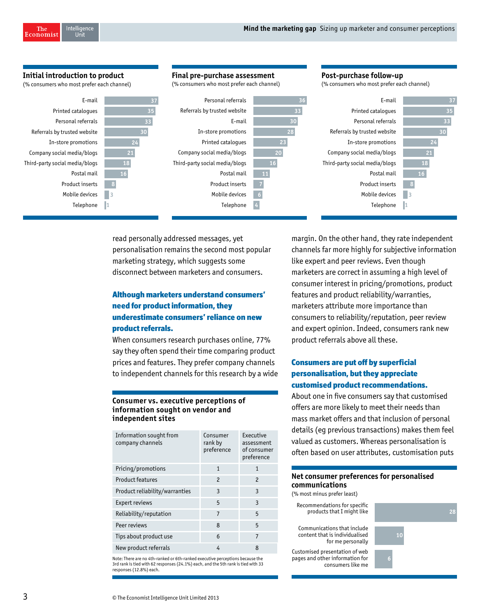**Post-purchase follow-up**

### **Initial introduction to product**

(% consumers who most prefer each channel)

 **18 16** 

**3 1**

E-mail Printed catalogues Personal referrals Referrals by trusted website In-store promotions Company social media/blogs Third-party social media/blogs Postal mail Product inserts Mobile devices Telephone

### **Final pre-purchase assessment**

(% consumers who most prefer each channel)



read personally addressed messages, yet personalisation remains the second most popular marketing strategy, which suggests some disconnect between marketers and consumers.

### Although marketers understand consumers' need for product information, they underestimate consumers' reliance on new product referrals.

When consumers research purchases online, 77% say they often spend their time comparing product prices and features. They prefer company channels to independent channels for this research by a wide

### **Consumer vs. executive perceptions of information sought on vendor and independent sites**

| Information sought from<br>company channels | Consumer<br>rank by<br>preference | Executive<br>assessment<br>of consumer<br>preference |
|---------------------------------------------|-----------------------------------|------------------------------------------------------|
| Pricing/promotions                          | $\overline{1}$                    | $\mathbf{1}$                                         |
| Product features                            | $\overline{\phantom{a}}$          | $\mathcal{P}$                                        |
| Product reliability/warranties              | 3                                 | 3                                                    |
| Expert reviews                              | 5                                 | 3                                                    |
| Reliability/reputation                      | 7                                 | 5                                                    |
| Peer reviews                                | 8                                 | 5                                                    |
| Tips about product use                      | 6                                 | 7                                                    |
| New product referrals                       | 4                                 | 8                                                    |

Note: There are no 4th-ranked or 6th-ranked executive perceptions because the 3rd rank is tied with 62 responses (24.1%) each, and the 5th rank is tied with 33 responses (12.8%) each.

margin. On the other hand, they rate independent channels far more highly for subjective information like expert and peer reviews. Even though marketers are correct in assuming a high level of consumer interest in pricing/promotions, product features and product reliability/warranties, marketers attribute more importance than consumers to reliability/reputation, peer review and expert opinion. Indeed, consumers rank new product referrals above all these.

### Consumers are put off by superficial personalisation, but they appreciate customised product recommendations.

About one in five consumers say that customised offers are more likely to meet their needs than mass market offers and that inclusion of personal details (eg previous transactions) makes them feel valued as customers. Whereas personalisation is often based on user attributes, customisation puts

### **Net consumer preferences for personalised communications**

(% most minus prefer least)

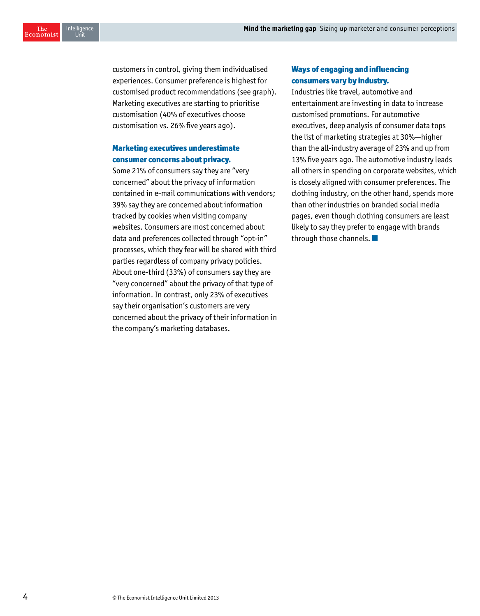Intelligence<br>Ilnit The Economist

> customers in control, giving them individualised experiences. Consumer preference is highest for customised product recommendations (see graph). Marketing executives are starting to prioritise customisation (40% of executives choose customisation vs. 26% five years ago).

### Marketing executives underestimate consumer concerns about privacy.

Some 21% of consumers say they are "very concerned" about the privacy of information contained in e-mail communications with vendors; 39% say they are concerned about information tracked by cookies when visiting company websites. Consumers are most concerned about data and preferences collected through "opt-in" processes, which they fear will be shared with third parties regardless of company privacy policies. About one-third (33%) of consumers say they are "very concerned" about the privacy of that type of information. In contrast, only 23% of executives say their organisation's customers are very concerned about the privacy of their information in the company's marketing databases.

### Ways of engaging and influencing consumers vary by industry.

Industries like travel, automotive and entertainment are investing in data to increase customised promotions. For automotive executives, deep analysis of consumer data tops the list of marketing strategies at 30%—higher than the all-industry average of 23% and up from 13% five years ago. The automotive industry leads all others in spending on corporate websites, which is closely aligned with consumer preferences. The clothing industry, on the other hand, spends more than other industries on branded social media pages, even though clothing consumers are least likely to say they prefer to engage with brands through those channels.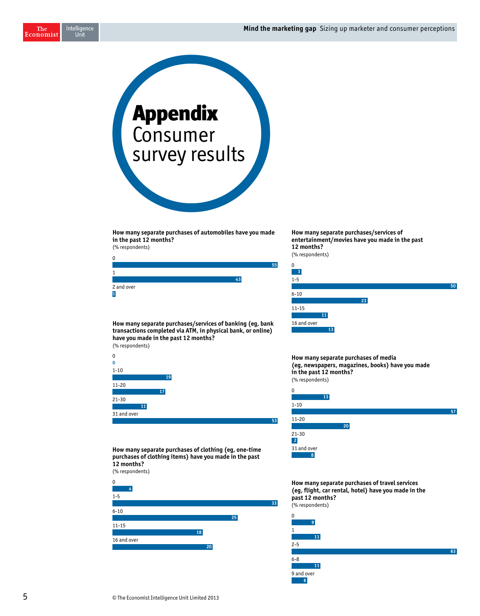Intelligence<br>Unit The Economist



**How many separate purchases of automobiles have you made in the past 12 months?**

(% respondents)

| 0               |    |    |
|-----------------|----|----|
|                 |    | 55 |
|                 |    |    |
|                 | 12 |    |
| 2 and over<br>h |    |    |

**How many separate purchases/services of banking (eg, bank transactions completed via ATM, in physical bank, or online) have you made in the past 12 months?** (% respondents)



**How many separate purchases of clothing (eg, one-time purchases of clothing items) have you made in the past 12 months?**

(% respondents)



**How many separate purchases/services of entertainment/movies have you made in the past 12 months?** (% respondents)



**How many separate purchases of media (eg, newspapers, magazines, books) have you made in the past 12 months?** (% respondents)

| 13          |    |    |
|-------------|----|----|
| $1 - 10$    |    |    |
|             |    | 57 |
| $11 - 20$   |    |    |
|             | 20 |    |
| $21 - 30$   |    |    |
| $\sqrt{2}$  |    |    |
| 31 and over |    |    |
| 8           |    |    |

**How many separate purchases of travel services (eg, flight, car rental, hotel) have you made in the past 12 months?** (% respondents)

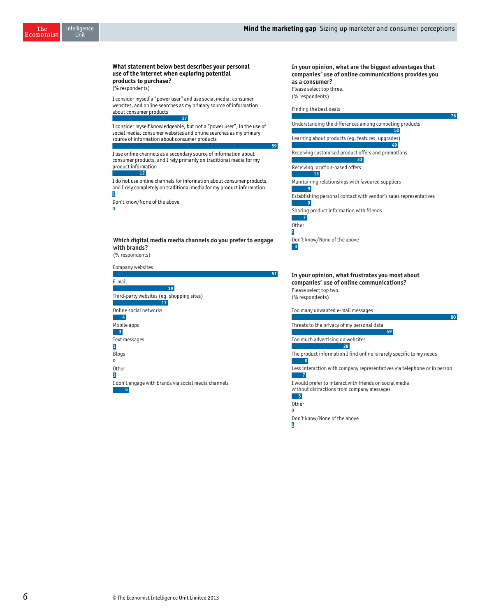### **What statement below best describes your personal use of the internet when exploring potential products to purchase?**

(% respondents)

I consider myself a "power user" and use social media, consumer websites, and online searches as my primary source of information about consumer products **27**

I consider myself knowledgeable, but not a "power user", in the use of social media, consumer websites and online searches as my primary source of information about consumer products

I use online channels as a secondary source of information about consumer products, and I rely primarily on traditional media for my product information

**12**

I do not use online channels for information about consumer products, and I rely completely on traditional media for my product information **1**

Don't know/None of the above

**0**

### **Which digital media media channels do you prefer to engage with brands?** (% respondents)



### **In your opinion, what are the biggest advantages that companies' use of online communications provides you as a consumer?**  Please select top three.

(% respondents)

Finding the best deals

**59**

Understanding the differences among competing products Learning about products (eg, features, upgrades) Receiving customised product offers and promotions Receiving location-based offers Maintaining relationships with favoured suppliers Establishing personal contact with vendor's sales representatives Sharing product information with friends **Other** Don't know/None of the above **50 49 33 13 9 9 7 1 3**

**76**

**80**

**In your opinion, what frustrates you most about companies' use of online communications?**  Please select top two. (% respondents)

Too many unwanted e-mail messages

Threats to the privacy of my personal data

**28**

Too much advertising on websites

The product information I find online is rarely specific to my needs

**8**

Less interaction with company representatives via telephone or in person **7**

**49**

I would prefer to interact with friends on social media without distractions from company messages



**Other 0**

> Don't know/None of the above **1**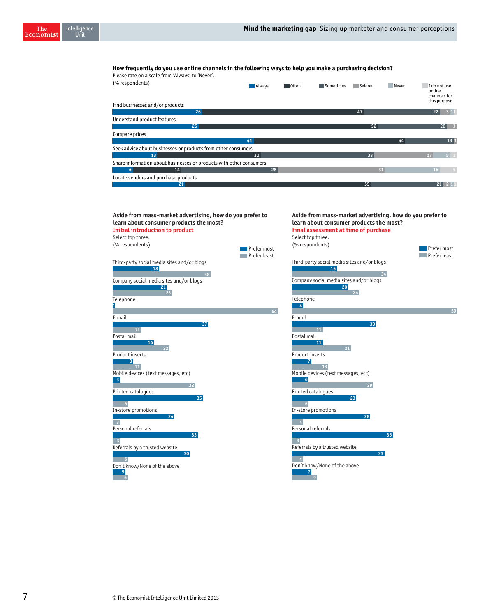### **How frequently do you use online channels in the following ways to help you make a purchasing decision?**

Please rate on a scale from 'Always' to 'Never'. (% respondents)

|                                                                     |                 |  |    |    | channels for<br>this purpose |                 |
|---------------------------------------------------------------------|-----------------|--|----|----|------------------------------|-----------------|
| Find businesses and/or products                                     |                 |  |    |    |                              |                 |
| 26                                                                  |                 |  | 47 |    | 22                           | 311             |
| Understand product features                                         |                 |  |    |    |                              |                 |
| 25 <sub>1</sub>                                                     |                 |  | 52 |    |                              | 20 <sup>°</sup> |
| Compare prices                                                      |                 |  |    |    |                              |                 |
|                                                                     | 41              |  |    | 44 |                              | 13 1            |
| Seek advice about businesses or products from other consumers       |                 |  |    |    |                              |                 |
| 13                                                                  | 30 <sup>1</sup> |  | 33 |    | 17                           | $5 \mid 2$      |
| Share information about businesses or products with other consumers |                 |  |    |    |                              |                 |
| 14<br>6                                                             | 28              |  | 31 |    | 16                           |                 |
| Locate vendors and purchase products                                |                 |  |    |    |                              |                 |
| 21                                                                  |                 |  | 55 |    | 21                           |                 |

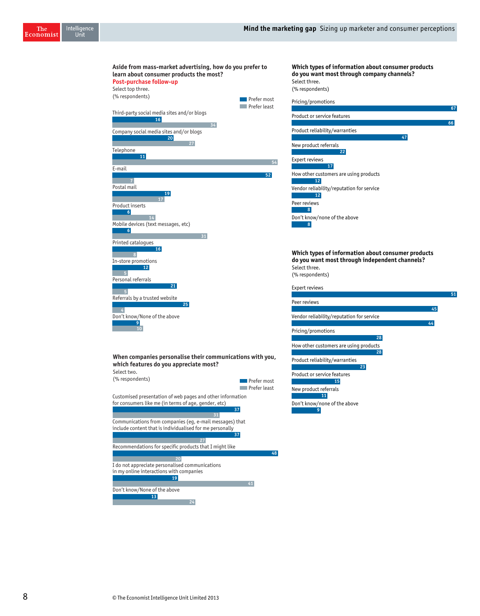| Aside from mass-market advertising, how do you prefer to<br>learn about consumer products the most? |              |
|-----------------------------------------------------------------------------------------------------|--------------|
| Post-purchase follow-up                                                                             |              |
| Select top three.                                                                                   |              |
| (% respondents)                                                                                     | Prefer most  |
| Third-party social media sites and/or blogs                                                         | Prefer least |
| 16                                                                                                  |              |
| 34<br>Company social media sites and/or blogs                                                       |              |
| 20                                                                                                  |              |
| 27                                                                                                  |              |
| Telephone<br>11                                                                                     |              |
|                                                                                                     | 54           |
| E-mail                                                                                              | 52           |
| $\overline{7}$                                                                                      |              |
| Postal mail<br>19                                                                                   |              |
| 17                                                                                                  |              |
| Product inserts<br>6 <sup>1</sup>                                                                   |              |
| 14                                                                                                  |              |
| Mobile devices (text messages, etc)<br>6 <sup>1</sup>                                               |              |
| 31                                                                                                  |              |
| Printed catalogues                                                                                  |              |
| 16<br>$\overline{\phantom{0}}$ 8                                                                    |              |
| In-store promotions                                                                                 |              |
| 12<br>5                                                                                             |              |
| Personal referrals                                                                                  |              |
| 21<br>$\overline{5}$                                                                                |              |
| Referrals by a trusted website                                                                      |              |
| 25<br>$\overline{4}$                                                                                |              |
| Don't know/None of the above                                                                        |              |
| 9<br>10                                                                                             |              |
|                                                                                                     |              |
|                                                                                                     |              |
|                                                                                                     |              |
| When companies personalise their communications with you,<br>which features do you appreciate most? |              |
| Select two.                                                                                         |              |
| (% respondents)                                                                                     | Prefer most  |
|                                                                                                     | Prefer least |
| Customised presentation of web pages and other information                                          |              |
| for consumers like me (in terms of age, gender, etc)                                                | 37           |

### **Which types of information about consumer products do you want most through company channels?**  .<br>ect three.

respondents)

| Pricing/promotions                        |    |
|-------------------------------------------|----|
|                                           | 67 |
| Product or service features               |    |
|                                           | 66 |
| Product reliability/warranties            |    |
| 47                                        |    |
| New product referrals                     |    |
| 22                                        |    |
| Expert reviews                            |    |
| 17                                        |    |
| How other customers are using products    |    |
| 12                                        |    |
| Vendor reliability/reputation for service |    |
| 12                                        |    |
| Peer reviews                              |    |
| 8                                         |    |
| Don't know/none of the above              |    |
| 8                                         |    |

### **Which types of information about consumer products do you want most through independent channels?**   $\frac{1}{2}$ ect three. respondents)

| Expert reviews                            |    |
|-------------------------------------------|----|
| Peer reviews                              |    |
|                                           | 45 |
| Vendor reliability/reputation for service |    |
|                                           | 44 |
| Pricing/promotions                        |    |
| 28                                        |    |
| How other customers are using products    |    |
| 28                                        |    |
| Product reliability/warranties            |    |
| 23                                        |    |
| Product or service features               |    |
| 15                                        |    |
| New product referrals                     |    |
| 11                                        |    |
| Don't know/none of the above              |    |
| 9                                         |    |

8 © The Economist Intelligence Unit Limited 2013

Recommendations for specific products that I might like

 **19**

 **24**

 **27 27** 

**48**

I do not appreciate personalised communications  **20** in my online interactions with companies

Don't know/None of the above

 **13**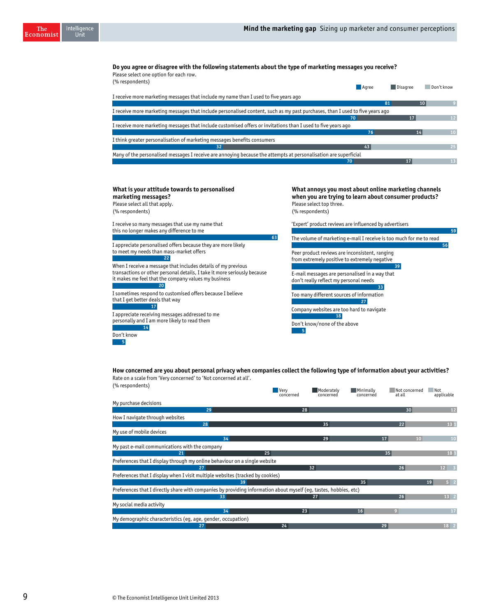**Do you agree or disagree with the following statements about the type of marketing messages you receive?**  Please select one option for each row.  $(0, r^{\text{normal}})$ 

| $101$ C3P0110 CHC3                                                                                                            | Agree | <b>Disagree</b> | Don't know |  |
|-------------------------------------------------------------------------------------------------------------------------------|-------|-----------------|------------|--|
| I receive more marketing messages that include my name than I used to five years ago                                          |       |                 |            |  |
|                                                                                                                               |       | 81              |            |  |
| I receive more marketing messages that include personalised content, such as my past purchases, than I used to five years ago |       |                 |            |  |
|                                                                                                                               | 70    |                 | 12         |  |
| I receive more marketing messages that include customised offers or invitations than I used to five years ago                 |       |                 |            |  |
|                                                                                                                               | 76    |                 | 14         |  |
| I think greater personalisation of marketing messages benefits consumers                                                      |       |                 |            |  |
| 32                                                                                                                            |       |                 | 25         |  |
| Many of the personalised messages I receive are annoying because the attempts at personalisation are superficial              |       |                 |            |  |
| 70                                                                                                                            |       |                 | 13         |  |

**63**

### **What is your attitude towards to personalised marketing messages?**

Please select all that apply. (% respondents)

Intelligence<br>Unit

The Economist

Don't know

 **5**

I receive so many messages that use my name that this no longer makes any difference to me

I appreciate personalised offers because they are more likely to meet my needs than mass-market offers **22**

When I receive a message that includes details of my previous transactions or other personal details, I take it more seriously because it makes me feel that the company values my business **20**

I sometimes respond to customised offers because I believe that I get better deals that way

I appreciate receiving messages addressed to me personally and I am more likely to read them **17 14**

**What annoys you most about online marketing channels when you are trying to learn about consumer products?**  Please select top three. (% respondents)

'Expert' product reviews are influenced by advertisers

The volume of marketing e-mail I receive is too much for me to read Peer product reviews are inconsistent, ranging from extremely positive to extremely negative E-mail messages are personalised in a way that don't really reflect my personal needs Too many different sources of information Company websites are too hard to navigate **59 56 39 33 27 18**

Don't know/none of the above  **5**

**How concerned are you about personal privacy when companies collect the following type of information about your activities?**  Rate on a scale from 'Very concerned' to 'Not concerned at all'. (% respondents)

| $\frac{1}{2}$ ( $\frac{1}{2}$ is a substitute)                                                                    | Very<br>concerned | Moderately<br>concerned | Minimally<br>concerned | Not concerned<br>at all | Not<br>applicable    |
|-------------------------------------------------------------------------------------------------------------------|-------------------|-------------------------|------------------------|-------------------------|----------------------|
| My purchase decisions                                                                                             |                   |                         |                        |                         |                      |
| 29                                                                                                                | 28                |                         |                        | 30                      | $12$                 |
| How I navigate through websites                                                                                   |                   |                         |                        |                         |                      |
| 28                                                                                                                |                   | 35                      |                        | 22                      | 13 1                 |
| My use of mobile devices                                                                                          |                   |                         |                        |                         |                      |
| 34                                                                                                                |                   | 29                      |                        | 17<br>10                | 10                   |
| My past e-mail communications with the company                                                                    |                   |                         |                        |                         |                      |
| 25<br>21                                                                                                          |                   |                         |                        | 35                      | 181                  |
| Preferences that I display through my online behaviour on a single website                                        |                   |                         |                        |                         |                      |
| 27                                                                                                                |                   | 32                      |                        | 26                      | 12                   |
| Preferences that I display when I visit multiple websites (tracked by cookies)                                    |                   |                         |                        |                         |                      |
| 39                                                                                                                |                   |                         | 35                     |                         | 5 <sup>2</sup><br>19 |
| Preferences that I directly share with companies by providing information about myself (eq, tastes, hobbies, etc) |                   |                         |                        |                         |                      |
| 33                                                                                                                |                   | 27                      |                        | 26                      | $13 \quad 2$         |
| My social media activity                                                                                          |                   |                         |                        |                         |                      |
| 34                                                                                                                | 23                |                         | 16                     | $\bullet$               | 17                   |
| My demographic characteristics (eg, age, gender, occupation)                                                      |                   |                         |                        |                         |                      |
| 27                                                                                                                | 24                |                         |                        | 29                      | $18$ 2               |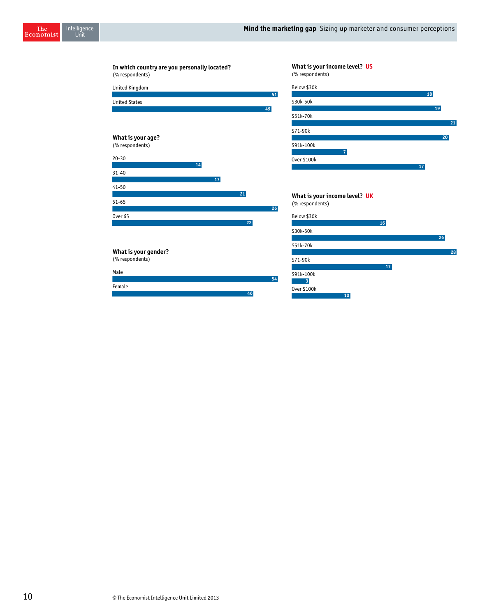**10**

**18**

**17**

**19**

**26**

**28**

**21 20**

| In which country are you personally located?<br>(% respondents) | What is your income level? US<br>(% respondents) |
|-----------------------------------------------------------------|--------------------------------------------------|
| United Kingdom                                                  | Below \$30k                                      |
| <b>United States</b>                                            | 51<br>\$30k-50k                                  |
|                                                                 | 49<br>\$51k-70k                                  |
|                                                                 | \$71-90k                                         |
| What is your age?                                               |                                                  |
| (% respondents)                                                 | \$91k-100k                                       |
| $20 - 30$                                                       | $\overline{7}$<br>0ver \$100k                    |
| 14                                                              |                                                  |
| $31 - 40$                                                       |                                                  |
| 17<br>$41 - 50$                                                 |                                                  |
| 21                                                              | What is your income level? UK                    |
| $51 - 65$                                                       | (% respondents)<br>26                            |
| Over $65$                                                       | Below \$30k<br>22<br>16                          |
|                                                                 | \$30k-50k                                        |
|                                                                 | \$51k-70k                                        |
| What is your gender?                                            |                                                  |
| (% respondents)                                                 | \$71-90k<br>17                                   |
| Male                                                            | \$91k-100k                                       |
| Female                                                          | 54<br>$\overline{3}$                             |
|                                                                 | Over \$100k<br>a an                              |

**46**

The<br>Economist

Intelligence<br>Unit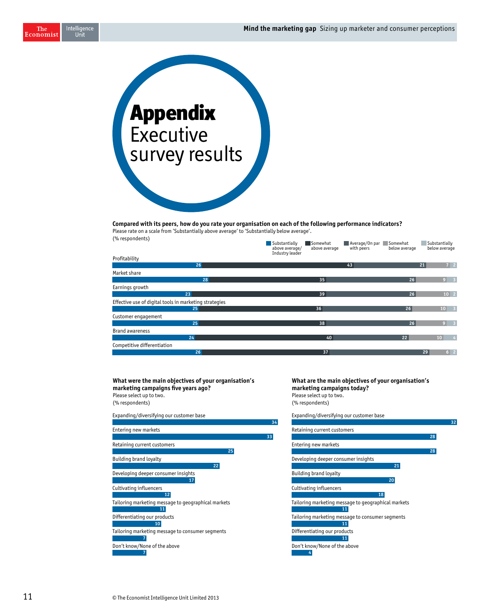Intelligence<br>Unit The Economist



### **Compared with its peers, how do you rate your organisation on each of the following performance indicators?**

Please rate on a scale from 'Substantially above average' to 'Substantially below average'. (% respondents)

| ("Caponuciius")                                        | Substantially<br>above average/<br>Industry leader | Somewhat<br>above average | Average/On par<br>with peers | Somewhat<br>below average |    | Substantially<br>below average |                |
|--------------------------------------------------------|----------------------------------------------------|---------------------------|------------------------------|---------------------------|----|--------------------------------|----------------|
| Profitability                                          |                                                    |                           |                              |                           |    |                                |                |
| 26                                                     |                                                    |                           | 43                           |                           | 21 | $7 \quad 2$                    |                |
| Market share                                           |                                                    |                           |                              |                           |    |                                |                |
| 28                                                     |                                                    | 35                        |                              | 26                        |    | $9 \quad 3$                    |                |
| Earnings growth                                        |                                                    |                           |                              |                           |    |                                |                |
| 23                                                     |                                                    | 39                        |                              | 26                        |    | $10 \quad 2$                   |                |
| Effective use of digital tools in marketing strategies |                                                    |                           |                              |                           |    |                                |                |
| 25 <sup>1</sup>                                        |                                                    | 36                        |                              | 26                        |    | 10 <sup>1</sup>                | $\overline{3}$ |
| Customer engagement                                    |                                                    |                           |                              |                           |    |                                |                |
| 25                                                     |                                                    | 38                        |                              | 26                        |    |                                |                |
| <b>Brand awareness</b>                                 |                                                    |                           |                              |                           |    |                                |                |
| 24                                                     |                                                    | 40                        |                              | 22 <sup>2</sup>           |    | 10                             | 4              |
| Competitive differentiation                            |                                                    |                           |                              |                           |    |                                |                |
| 26                                                     |                                                    | 37                        |                              |                           | 29 | $6 \quad 2$                    |                |

### **What were the main objectives of your organisation's marketing campaigns five years ago?**  Please select up to two. (% respondents)

Expanding/diversifying our customer base Entering new markets Retaining current customers Building brand loyalty Developing deeper consumer insights Cultivating influencers Tailoring marketing message to geographical markets Differentiating our products Tailoring marketing message to consumer segments Don't know/None of the above **34 33 25 22 17 12 11 10 7**

### **What are the main objectives of your organisation's marketing campaigns today?**  Please select up to two. (% respondents)

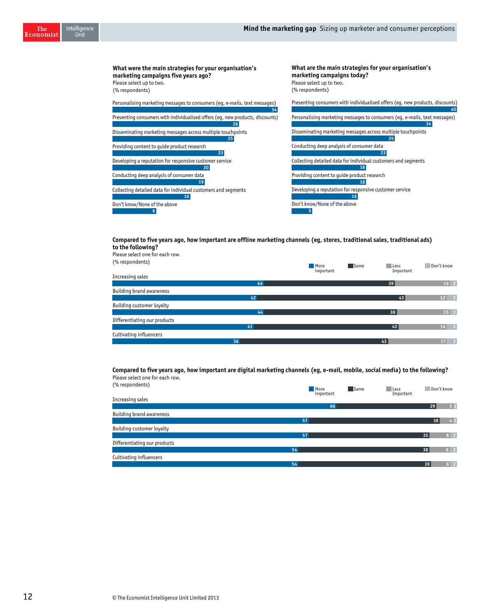

### **Compared to five years ago, how important are offline marketing channels (eg, stores, traditional sales, traditional ads) to the following?**  Please select one for each row.

| TRAJE SERELI UNE TUI EALITTUW.  |    |                           |                     |                                  |
|---------------------------------|----|---------------------------|---------------------|----------------------------------|
| (% respondents)                 |    | Same<br>More<br>important | l Less<br>Important | Don't know                       |
| Increasing sales                |    |                           |                     |                                  |
|                                 | 44 |                           | 39                  | $16 \quad 2$                     |
| <b>Building brand awareness</b> |    |                           |                     |                                  |
|                                 | 42 |                           | 43                  | 12<br>$\overline{\phantom{0}}$ 3 |
| Building customer loyalty       |    |                           |                     |                                  |
|                                 | 44 |                           | 38                  | $15 \quad 2$                     |
| Differentiating our products    |    |                           |                     |                                  |
|                                 | 41 |                           | 42                  | 14<br>$\overline{3}$             |
| Cultivating influencers         |    |                           |                     |                                  |
|                                 | 36 |                           | 43                  | 17 <sup>1</sup>                  |

### **Compared to five years ago, how important are digital marketing channels (eg, e-mail, mobile, social media) to the following?**  Please select one for each row.

| (% respondents)                 | Same<br>More | Don't know<br>Less   |
|---------------------------------|--------------|----------------------|
| Increasing sales                | important    | Important            |
|                                 | 66           | 51<br>29             |
| <b>Building brand awareness</b> |              |                      |
|                                 | 57           | 38<br>4 <sub>1</sub> |
| Building customer loyalty       |              |                      |
|                                 | 57           | 6 <sup>2</sup><br>35 |
| Differentiating our products    |              |                      |
|                                 | 54           | 6 <sup>2</sup><br>38 |
| Cultivating influencers         |              |                      |
|                                 | 54           | 6 <sup>2</sup><br>39 |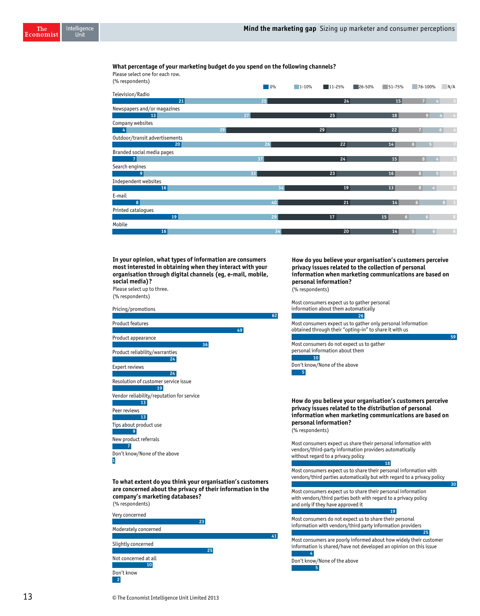### **What percentage of your marketing budget do you spend on the following channels?**  Please select one for each row.

(% respondents)

| $\frac{1}{2}$ ( $\frac{1}{2}$ is expondently) | 0% | $1 - 10%$<br>$11 - 25%$<br>26-50% | $51 - 75%$ | 76-100%<br>N/A                   |            |
|-----------------------------------------------|----|-----------------------------------|------------|----------------------------------|------------|
| Television/Radio                              |    |                                   |            |                                  |            |
| 21                                            | 25 | 24                                | 15         | $\overline{7}$<br>4              |            |
| Newspapers and/or magazines                   |    |                                   |            |                                  |            |
| 13                                            | 27 | 25                                | 18         | 9                                |            |
| Company websites                              |    |                                   |            |                                  |            |
|                                               | 29 | 29                                | 22         | 7<br>6 <sup>1</sup>              |            |
| Outdoor/transit advertisements                |    |                                   |            |                                  |            |
| 20                                            | 26 | 22                                | 14         | 6 <sup>1</sup>                   |            |
| Branded social media pages                    |    |                                   |            |                                  |            |
|                                               | 37 | 24                                | 15         | 8 <sup>1</sup>                   |            |
| Search engines                                |    |                                   |            |                                  |            |
| 9                                             | 33 | 23                                | 16         | 8<br>5                           |            |
| Independent websites                          |    |                                   |            |                                  |            |
| 16                                            | 34 | 19                                | 13         | 8<br>$\Delta$                    | 6          |
| E-mail                                        |    |                                   |            |                                  |            |
| 8                                             | 40 | 21                                | 14         | 6 <sup>1</sup><br>8 <sup>1</sup> |            |
| Printed catalogues                            |    |                                   |            |                                  |            |
| 19                                            | 29 | 17                                | 6<br>15    | 6 <sup>1</sup>                   | $\epsilon$ |
| Mobile                                        |    |                                   |            |                                  |            |
| 16                                            | 34 | 20                                | 14         | 5 <sup>1</sup><br>6 <sup>1</sup> | -6         |

**In your opinion, what types of information are consumers most interested in obtaining when they interact with your organisation through digital channels (eg, e-mail, mobile, social media)?** 

Please select up to three. (% respondents)

| Pricing/promotions<br>62                                                                                                                                                      |
|-------------------------------------------------------------------------------------------------------------------------------------------------------------------------------|
| <b>Product features</b>                                                                                                                                                       |
| 49                                                                                                                                                                            |
| Product appearance<br>36                                                                                                                                                      |
| Product reliability/warranties<br>24                                                                                                                                          |
| Expert reviews                                                                                                                                                                |
| 24                                                                                                                                                                            |
| Resolution of customer service issue<br>19                                                                                                                                    |
| Vendor reliability/reputation for service<br>13                                                                                                                               |
| Peer reviews<br>13                                                                                                                                                            |
| Tips about product use<br>9                                                                                                                                                   |
| New product referrals<br>7                                                                                                                                                    |
| Don't know/None of the above<br>1                                                                                                                                             |
| To what extent do you think your organisation's customers<br>are concerned about the privacy of their information in the<br>company's marketing databases?<br>(% respondents) |
| Very concerned<br>23                                                                                                                                                          |
| Moderately concerned<br>41                                                                                                                                                    |
| Slightly concerned                                                                                                                                                            |
| 25                                                                                                                                                                            |
| Not concerned at all                                                                                                                                                          |

**How do you believe your organisation's customers perceive privacy issues related to the collection of personal information when marketing communications are based on personal information?**  (% respondents)

Most consumers expect us to gather personal information about them automatically **26**

Most consumers expect us to gather only personal information obtained through their "opting-in" to share it with us

**59**

**30**

Most consumers do not expect us to gather personal information about them Don't know/None of the above **10**

**5**

**How do you believe your organisation's customers perceive privacy issues related to the distribution of personal information when marketing communications are based on personal information?**  (% respondents)

Most consumers expect us share their personal information with vendors/third-party information providers automatically without regard to a privacy policy

Most consumers expect us to share their personal information with vendors/third parties automatically but with regard to a privacy policy

**18**

**19**

**25**

Most consumers expect us to share their personal information with vendors/third parties both with regard to a privacy policy and only if they have approved it

Most consumers do not expect us to share their personal information with vendors/third party information providers

Most consumers are poorly informed about how widely their customer information is shared/have not developed an opinion on this issue  **4**

Don't know/None of the above  **5**

13 © The Economist Intelligence Unit Limited 2013

**10**

Don't know

 **2**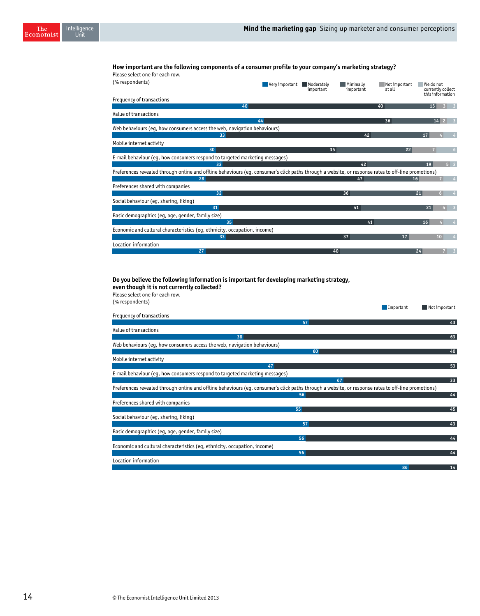### **How important are the following components of a consumer profile to your company's marketing strategy?**  Please select one for each row.

| , was scied one for cach fon.                                                                                                                       |                |                         |                        |                         |           |                                       |                         |
|-----------------------------------------------------------------------------------------------------------------------------------------------------|----------------|-------------------------|------------------------|-------------------------|-----------|---------------------------------------|-------------------------|
| (% respondents)                                                                                                                                     | Very important | Moderately<br>important | Minimally<br>important | Not important<br>at all | We do not | currently collect<br>this information |                         |
| Frequency of transactions                                                                                                                           |                |                         |                        |                         |           |                                       |                         |
|                                                                                                                                                     | 40             |                         |                        | 40                      | 15        |                                       |                         |
| Value of transactions                                                                                                                               |                |                         |                        |                         |           |                                       |                         |
|                                                                                                                                                     | 44             |                         |                        | 36                      |           | 14<br>2                               |                         |
| Web behaviours (eg, how consumers access the web, navigation behaviours)                                                                            |                |                         |                        |                         |           |                                       |                         |
| 33                                                                                                                                                  |                |                         | 42                     |                         | 17        |                                       |                         |
| Mobile internet activity                                                                                                                            |                |                         |                        |                         |           |                                       |                         |
| 30                                                                                                                                                  |                | 35                      |                        | 22                      |           |                                       | 6                       |
| E-mail behaviour (eq, how consumers respond to targeted marketing messages)                                                                         |                |                         |                        |                         |           |                                       |                         |
| 32                                                                                                                                                  |                |                         | 42                     |                         | 19        |                                       | 5 <sup>2</sup>          |
| Preferences revealed through online and offline behaviours (eg, consumer's click paths through a website, or response rates to off-line promotions) |                |                         |                        |                         |           |                                       |                         |
| 28                                                                                                                                                  |                |                         | 47                     | 16                      |           |                                       | 4                       |
| Preferences shared with companies                                                                                                                   |                |                         |                        |                         |           |                                       |                         |
| 32                                                                                                                                                  |                |                         | 36                     |                         | 21        | 6 <sup>1</sup>                        |                         |
| Social behaviour (eq, sharing, liking)                                                                                                              |                |                         |                        |                         |           |                                       |                         |
| 31                                                                                                                                                  |                |                         | 41                     |                         | 21        |                                       |                         |
| Basic demographics (eg, age, gender, family size)                                                                                                   |                |                         |                        |                         |           |                                       |                         |
| 35                                                                                                                                                  |                |                         | 41                     |                         | 16        |                                       | 4                       |
| Economic and cultural characteristics (eq, ethnicity, occupation, income)                                                                           |                |                         |                        |                         |           |                                       |                         |
| 33                                                                                                                                                  |                |                         | 37                     | 17                      |           | 10 <sup>°</sup>                       |                         |
| Location information                                                                                                                                |                |                         |                        |                         |           |                                       |                         |
| 27                                                                                                                                                  |                |                         | 40                     |                         | 24        |                                       | $\overline{\mathbf{3}}$ |

### **Do you believe the following information is important for developing marketing strategy, even though it is not currently collected?**

| Please select one for each row.                                                                                                                     |           |               |
|-----------------------------------------------------------------------------------------------------------------------------------------------------|-----------|---------------|
| (% respondents)                                                                                                                                     | Important | Not important |
| Frequency of transactions                                                                                                                           |           |               |
| 57                                                                                                                                                  |           | 43            |
| Value of transactions                                                                                                                               |           |               |
| 38                                                                                                                                                  |           | 63            |
| Web behaviours (eq, how consumers access the web, navigation behaviours)                                                                            |           |               |
| 60                                                                                                                                                  |           | 40            |
| Mobile internet activity                                                                                                                            |           |               |
| 47                                                                                                                                                  |           | 53            |
| E-mail behaviour (eq, how consumers respond to targeted marketing messages)                                                                         |           |               |
| 67                                                                                                                                                  |           | 33            |
| Preferences revealed through online and offline behaviours (eq, consumer's click paths through a website, or response rates to off-line promotions) |           |               |
| 56                                                                                                                                                  |           | 44            |
| Preferences shared with companies                                                                                                                   |           |               |
| 55                                                                                                                                                  |           | 45            |
| Social behaviour (eq, sharing, liking)                                                                                                              |           |               |
| 57                                                                                                                                                  |           | 43            |
| Basic demographics (eg, age, gender, family size)                                                                                                   |           |               |
| 56                                                                                                                                                  |           | 44            |
| Economic and cultural characteristics (eq, ethnicity, occupation, income)                                                                           |           |               |
| 56                                                                                                                                                  |           | 44            |
| Location information                                                                                                                                |           |               |
|                                                                                                                                                     | 86        | 14            |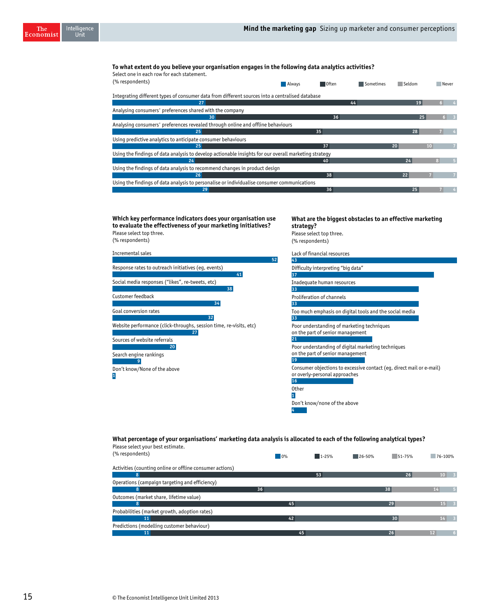**What are the biggest obstacles to an effective marketing** 

### **To what extent do you believe your organisation engages in the following data analytics activities?**

**Which key performance indicators does your organisation use** 

Intelligence<br>Unit

The Economist

| Select one in each row for each statement.<br>(% respondents)                                         | <b>Always</b> | Often | l Sometimes | <b>Seldom</b> | Never |  |
|-------------------------------------------------------------------------------------------------------|---------------|-------|-------------|---------------|-------|--|
| Integrating different types of consumer data from different sources into a centralised database       |               |       |             |               |       |  |
| 27                                                                                                    |               |       | 44          | 19            |       |  |
| Analysing consumers' preferences shared with the company                                              |               |       |             |               |       |  |
| 30 <sup>°</sup>                                                                                       |               | 36    |             | 25            |       |  |
| Analysing consumers' preferences revealed through online and offline behaviours                       |               |       |             |               |       |  |
| 25                                                                                                    |               | 35    |             | 28            |       |  |
| Using predictive analytics to anticipate consumer behaviours                                          |               |       |             |               |       |  |
| 25                                                                                                    |               | 37    |             | 20            | 10    |  |
| Using the findings of data analysis to develop actionable insights for our overall marketing strategy |               |       |             |               |       |  |
| 24                                                                                                    |               | 40    |             | 24            |       |  |
| Using the findings of data analysis to recommend changes in product design                            |               |       |             |               |       |  |
| 26                                                                                                    |               | 38    |             | 22            |       |  |
| Using the findings of data analysis to personalise or individualise consumer communications           |               |       |             |               |       |  |
| 29                                                                                                    |               | 36    |             | 25            |       |  |

Incremental sales Response rates to outreach initiatives (eg, events) Social media responses ("likes", re-tweets, etc) Customer feedback Goal conversion rates Website performance (click-throughs, session time, re-visits, etc) Sources of website referrals Search engine rankings Don't know/None of the above **to evaluate the effectiveness of your marketing initiatives?**  Please select top three. (% respondents) **52 41 38 34 32 27 20 9 1** Lack of financial resources Difficulty interpreting "big data" Inadequate human resources Proliferation of channels Too much emphasis on digital tools and the social media Poor understanding of marketing techniques on the part of senior management Poor understanding of digital marketing techniques on the part of senior management Consumer objections to excessive contact (eg, direct mail or e-mail) or overly-personal approaches Other Don't know/none of the above **strategy?** Please select top three. (% respondents) **43 37 33 33 33 21 19 16 1 4**

### **What percentage of your organisations' marketing data analysis is allocated to each of the following analytical types?**  Please select your best estimate.

| (% respondents)                                          | 10% | $1 - 25%$ | $26 - 50%$ | $51 - 75%$ | 76-100%         |                            |
|----------------------------------------------------------|-----|-----------|------------|------------|-----------------|----------------------------|
| Activities (counting online or offline consumer actions) |     |           |            |            |                 |                            |
| 8                                                        |     | 53        |            | 26         | $10 \quad 3$    |                            |
| Operations (campaign targeting and efficiency)           |     |           |            |            |                 |                            |
| 8                                                        | 36  |           |            | 38         | 14              |                            |
| Outcomes (market share, lifetime value)                  |     |           |            |            |                 |                            |
| 8                                                        | 45  |           |            | 29         | $15 \quad 3$    |                            |
| Probabilities (market growth, adoption rates)            |     |           |            |            |                 |                            |
| 11                                                       | 42  |           |            | 30         | 14 <sup>1</sup> | $\overline{\phantom{0}}$ 3 |
| Predictions (modelling customer behaviour)               |     |           |            |            |                 |                            |
| 11                                                       | 45  |           |            | 26         | 12 <sup>2</sup> |                            |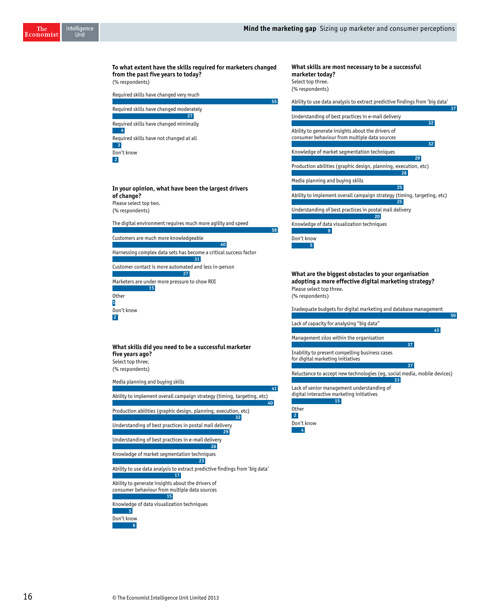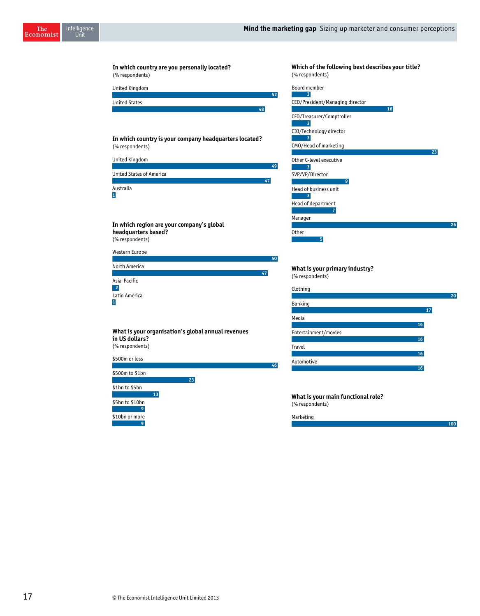

### **Which of the following best describes your title?** (% respondents)

| 3<br>CEO/President/Managing director<br>16<br>CFO/Treasurer/Comptroller<br>3<br>CIO/Technology director<br>3<br>CMO/Head of marketing<br>23<br>Other C-level executive<br>SVP/VP/Director<br>9<br>Head of business unit<br>3 |
|------------------------------------------------------------------------------------------------------------------------------------------------------------------------------------------------------------------------------|
|                                                                                                                                                                                                                              |
|                                                                                                                                                                                                                              |
|                                                                                                                                                                                                                              |
|                                                                                                                                                                                                                              |
|                                                                                                                                                                                                                              |
|                                                                                                                                                                                                                              |
|                                                                                                                                                                                                                              |
|                                                                                                                                                                                                                              |
| Head of department<br>7                                                                                                                                                                                                      |
| Manager<br>26                                                                                                                                                                                                                |
| <b>Other</b><br>5                                                                                                                                                                                                            |

**What is your primary industry?** (% respondents)

| Clothing             |    |
|----------------------|----|
|                      | 20 |
| Banking              |    |
|                      | 17 |
| Media                |    |
|                      | 16 |
| Entertainment/movies |    |
|                      | 16 |
| <b>Travel</b>        |    |
|                      | 16 |
| Automotive           |    |
|                      | 16 |

**100**

**What is your main functional role?** (% respondents)

Marketing

\$10bn or more

**9 9**